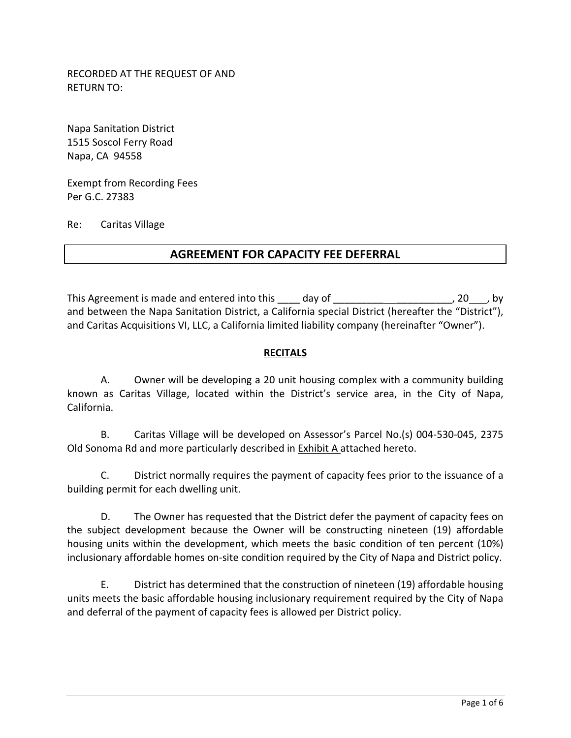RECORDED AT THE REQUEST OF AND RETURN TO:

Napa Sanitation District 1515 Soscol Ferry Road Napa, CA 94558

Exempt from Recording Fees Per G.C. 27383

Re: Caritas Village

# **AGREEMENT FOR CAPACITY FEE DEFERRAL**

This Agreement is made and entered into this day of This Agreement is made and entered into this day of and between the Napa Sanitation District, a California special District (hereafter the "District"), and Caritas Acquisitions VI, LLC, a California limited liability company (hereinafter "Owner").

#### **RECITALS**

A. Owner will be developing a 20 unit housing complex with a community building known as Caritas Village, located within the District's service area, in the City of Napa, California.

B. Caritas Village will be developed on Assessor's Parcel No.(s) 004‐530‐045, 2375 Old Sonoma Rd and more particularly described in Exhibit A attached hereto.

C. District normally requires the payment of capacity fees prior to the issuance of a building permit for each dwelling unit.

D. The Owner has requested that the District defer the payment of capacity fees on the subject development because the Owner will be constructing nineteen (19) affordable housing units within the development, which meets the basic condition of ten percent (10%) inclusionary affordable homes on‐site condition required by the City of Napa and District policy.

E. District has determined that the construction of nineteen (19) affordable housing units meets the basic affordable housing inclusionary requirement required by the City of Napa and deferral of the payment of capacity fees is allowed per District policy.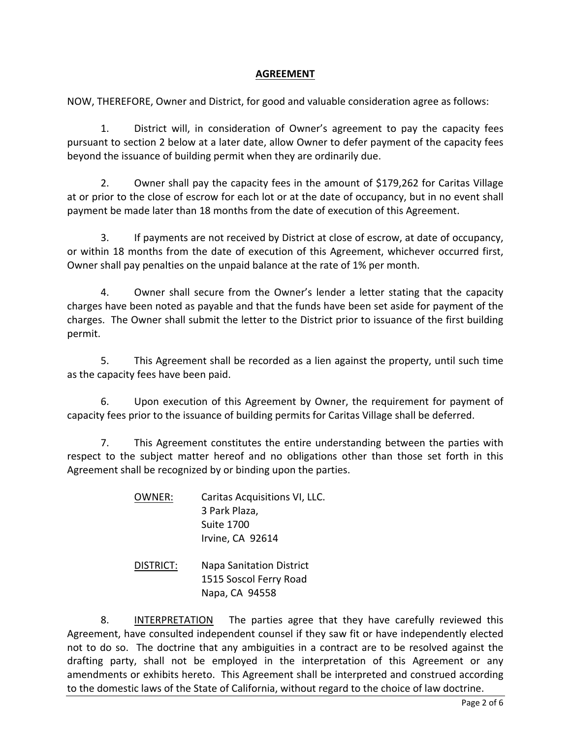### **AGREEMENT**

NOW, THEREFORE, Owner and District, for good and valuable consideration agree as follows:

1. District will, in consideration of Owner's agreement to pay the capacity fees pursuant to section 2 below at a later date, allow Owner to defer payment of the capacity fees beyond the issuance of building permit when they are ordinarily due.

2. Owner shall pay the capacity fees in the amount of \$179,262 for Caritas Village at or prior to the close of escrow for each lot or at the date of occupancy, but in no event shall payment be made later than 18 months from the date of execution of this Agreement.

3. If payments are not received by District at close of escrow, at date of occupancy, or within 18 months from the date of execution of this Agreement, whichever occurred first, Owner shall pay penalties on the unpaid balance at the rate of 1% per month.

4. Owner shall secure from the Owner's lender a letter stating that the capacity charges have been noted as payable and that the funds have been set aside for payment of the charges. The Owner shall submit the letter to the District prior to issuance of the first building permit.

5. This Agreement shall be recorded as a lien against the property, until such time as the capacity fees have been paid.

6. Upon execution of this Agreement by Owner, the requirement for payment of capacity fees prior to the issuance of building permits for Caritas Village shall be deferred.

7. This Agreement constitutes the entire understanding between the parties with respect to the subject matter hereof and no obligations other than those set forth in this Agreement shall be recognized by or binding upon the parties.

| OWNER:    | Caritas Acquisitions VI, LLC.<br>3 Park Plaza,<br><b>Suite 1700</b><br>Irvine, CA 92614 |
|-----------|-----------------------------------------------------------------------------------------|
| DISTRICT: | <b>Napa Sanitation District</b><br>1515 Soscol Ferry Road                               |

Napa, CA 94558

8. INTERPRETATION The parties agree that they have carefully reviewed this Agreement, have consulted independent counsel if they saw fit or have independently elected not to do so. The doctrine that any ambiguities in a contract are to be resolved against the drafting party, shall not be employed in the interpretation of this Agreement or any amendments or exhibits hereto. This Agreement shall be interpreted and construed according to the domestic laws of the State of California, without regard to the choice of law doctrine.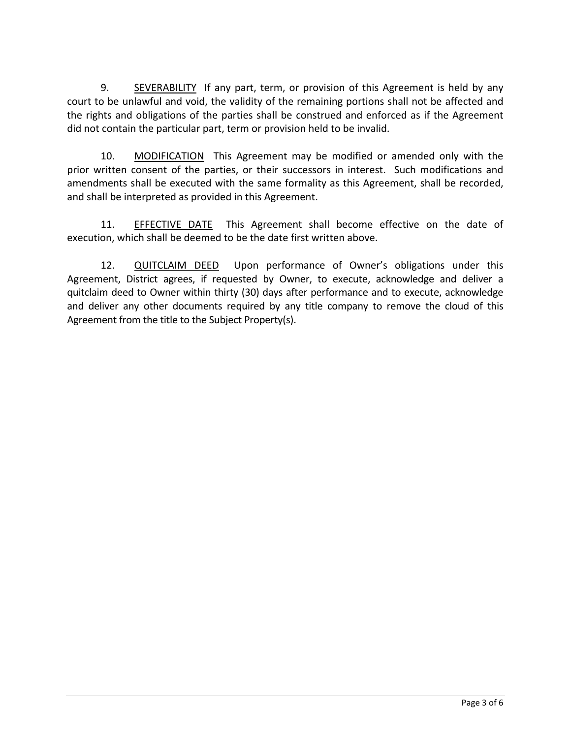9. SEVERABILITY If any part, term, or provision of this Agreement is held by any court to be unlawful and void, the validity of the remaining portions shall not be affected and the rights and obligations of the parties shall be construed and enforced as if the Agreement did not contain the particular part, term or provision held to be invalid.

10. MODIFICATION This Agreement may be modified or amended only with the prior written consent of the parties, or their successors in interest. Such modifications and amendments shall be executed with the same formality as this Agreement, shall be recorded, and shall be interpreted as provided in this Agreement.

11. EFFECTIVE DATE This Agreement shall become effective on the date of execution, which shall be deemed to be the date first written above.

12. QUITCLAIM DEED Upon performance of Owner's obligations under this Agreement, District agrees, if requested by Owner, to execute, acknowledge and deliver a quitclaim deed to Owner within thirty (30) days after performance and to execute, acknowledge and deliver any other documents required by any title company to remove the cloud of this Agreement from the title to the Subject Property(s).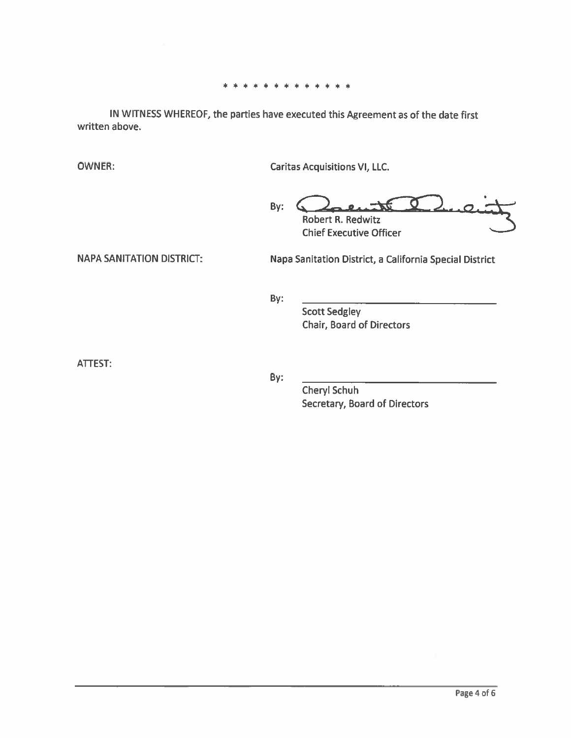#### \* \* \* \* \* \* \* \* \* \* \* \*

IN WITNESS WHEREOF, the parties have executed this Agreement as of the date first written above.

**OWNER:** 

**Caritas Acquisitions VI, LLC.** 

 $\sigma$ By: **Robert R. Redwitz Chief Executive Officer** 

**NAPA SANITATION DISTRICT:** 

Napa Sanitation District, a California Special District

By:

**Scott Sedgley Chair, Board of Directors** 

ATTEST:

By:

Cheryl Schuh Secretary, Board of Directors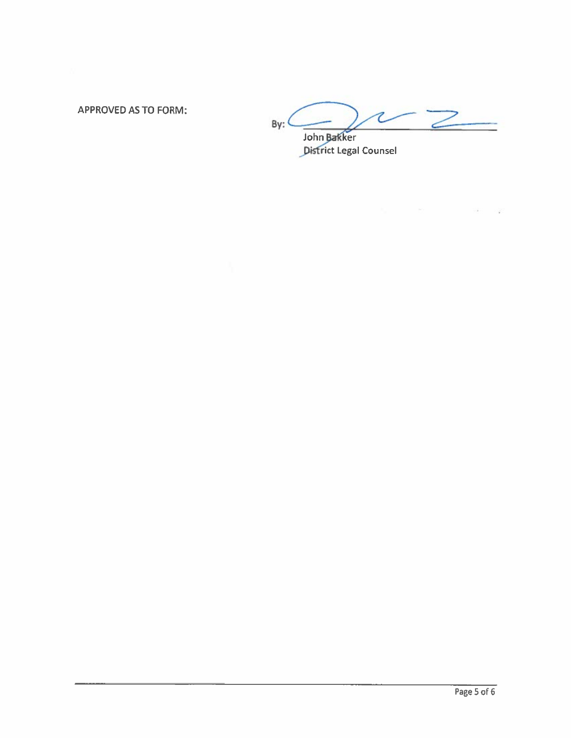**APPROVED AS TO FORM:** 

 $\frac{1}{2}$  $By:$ 

 $\label{eq:1.1} \mathcal{P}_{\mathcal{M}}(x) = \mathcal{P}_{\mathcal{M}}(x) = \mathcal{P}_{\mathcal{M}}(x) = \mathcal{P}_{\mathcal{M}}(x) = \mathcal{P}_{\mathcal{M}}(x)$ 

 $\hat{\mathbf{r}}$ 

John Bakker<br>District Legal Counsel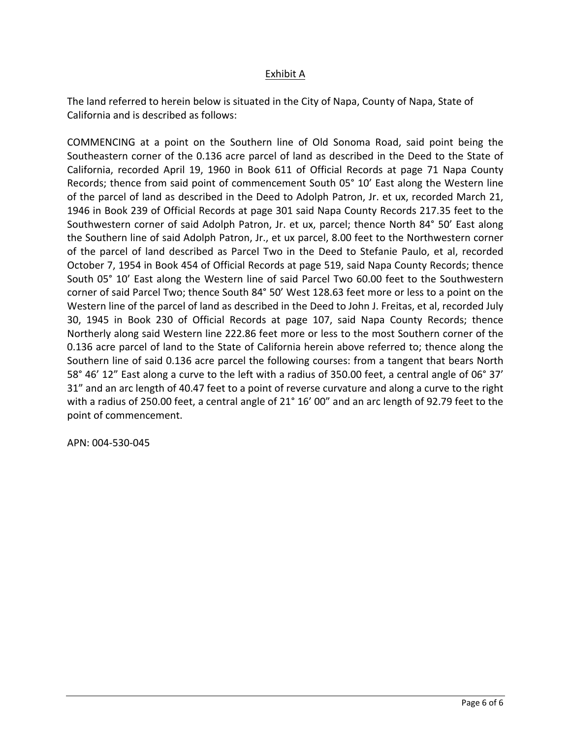## Exhibit A

The land referred to herein below is situated in the City of Napa, County of Napa, State of California and is described as follows:

COMMENCING at a point on the Southern line of Old Sonoma Road, said point being the Southeastern corner of the 0.136 acre parcel of land as described in the Deed to the State of California, recorded April 19, 1960 in Book 611 of Official Records at page 71 Napa County Records; thence from said point of commencement South 05° 10' East along the Western line of the parcel of land as described in the Deed to Adolph Patron, Jr. et ux, recorded March 21, 1946 in Book 239 of Official Records at page 301 said Napa County Records 217.35 feet to the Southwestern corner of said Adolph Patron, Jr. et ux, parcel; thence North 84° 50' East along the Southern line of said Adolph Patron, Jr., et ux parcel, 8.00 feet to the Northwestern corner of the parcel of land described as Parcel Two in the Deed to Stefanie Paulo, et al, recorded October 7, 1954 in Book 454 of Official Records at page 519, said Napa County Records; thence South 05° 10' East along the Western line of said Parcel Two 60.00 feet to the Southwestern corner of said Parcel Two; thence South 84° 50' West 128.63 feet more or less to a point on the Western line of the parcel of land as described in the Deed to John J. Freitas, et al, recorded July 30, 1945 in Book 230 of Official Records at page 107, said Napa County Records; thence Northerly along said Western line 222.86 feet more or less to the most Southern corner of the 0.136 acre parcel of land to the State of California herein above referred to; thence along the Southern line of said 0.136 acre parcel the following courses: from a tangent that bears North 58° 46' 12" East along a curve to the left with a radius of 350.00 feet, a central angle of 06° 37' 31" and an arc length of 40.47 feet to a point of reverse curvature and along a curve to the right with a radius of 250.00 feet, a central angle of 21° 16' 00" and an arc length of 92.79 feet to the point of commencement.

APN: 004‐530‐045